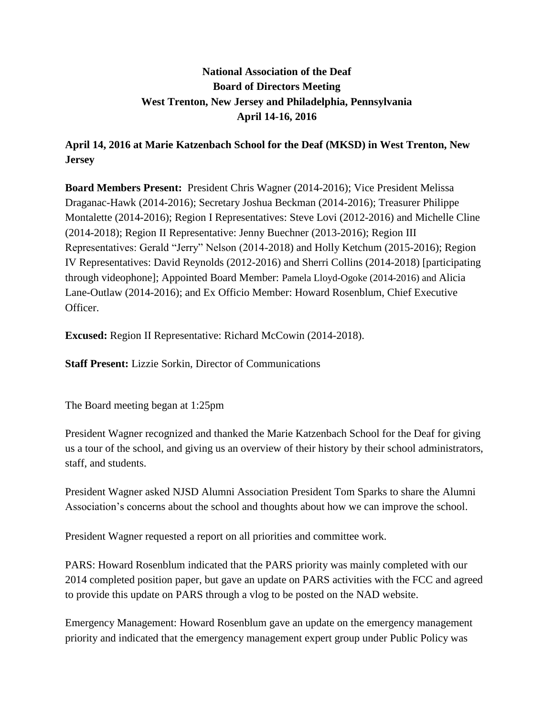# **National Association of the Deaf Board of Directors Meeting West Trenton, New Jersey and Philadelphia, Pennsylvania April 14-16, 2016**

# **April 14, 2016 at Marie Katzenbach School for the Deaf (MKSD) in West Trenton, New Jersey**

**Board Members Present:** President Chris Wagner (2014-2016); Vice President Melissa Draganac-Hawk (2014-2016); Secretary Joshua Beckman (2014-2016); Treasurer Philippe Montalette (2014-2016); Region I Representatives: Steve Lovi (2012-2016) and Michelle Cline (2014-2018); Region II Representative: Jenny Buechner (2013-2016); Region III Representatives: Gerald "Jerry" Nelson (2014-2018) and Holly Ketchum (2015-2016); Region IV Representatives: David Reynolds (2012-2016) and Sherri Collins (2014-2018) [participating through videophone]; Appointed Board Member: Pamela Lloyd-Ogoke (2014-2016) and Alicia Lane-Outlaw (2014-2016); and Ex Officio Member: Howard Rosenblum, Chief Executive Officer.

**Excused:** Region II Representative: Richard McCowin (2014-2018).

**Staff Present:** Lizzie Sorkin, Director of Communications

The Board meeting began at 1:25pm

President Wagner recognized and thanked the Marie Katzenbach School for the Deaf for giving us a tour of the school, and giving us an overview of their history by their school administrators, staff, and students.

President Wagner asked NJSD Alumni Association President Tom Sparks to share the Alumni Association's concerns about the school and thoughts about how we can improve the school.

President Wagner requested a report on all priorities and committee work.

PARS: Howard Rosenblum indicated that the PARS priority was mainly completed with our 2014 completed position paper, but gave an update on PARS activities with the FCC and agreed to provide this update on PARS through a vlog to be posted on the NAD website.

Emergency Management: Howard Rosenblum gave an update on the emergency management priority and indicated that the emergency management expert group under Public Policy was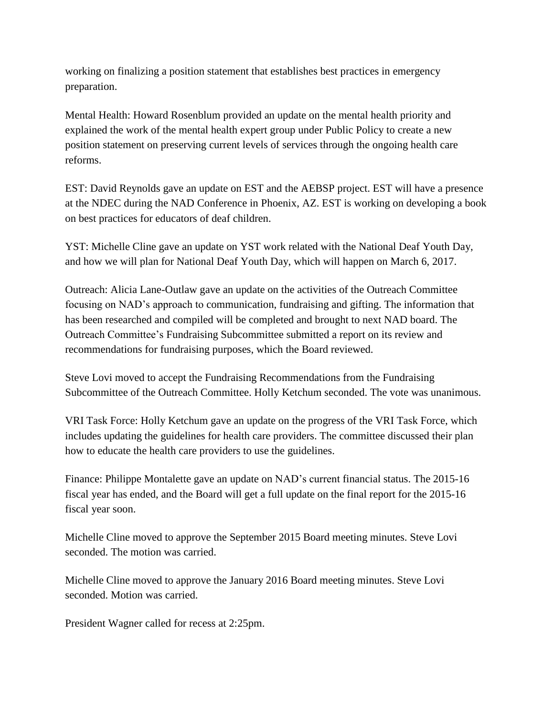working on finalizing a position statement that establishes best practices in emergency preparation.

Mental Health: Howard Rosenblum provided an update on the mental health priority and explained the work of the mental health expert group under Public Policy to create a new position statement on preserving current levels of services through the ongoing health care reforms.

EST: David Reynolds gave an update on EST and the AEBSP project. EST will have a presence at the NDEC during the NAD Conference in Phoenix, AZ. EST is working on developing a book on best practices for educators of deaf children.

YST: Michelle Cline gave an update on YST work related with the National Deaf Youth Day, and how we will plan for National Deaf Youth Day, which will happen on March 6, 2017.

Outreach: Alicia Lane-Outlaw gave an update on the activities of the Outreach Committee focusing on NAD's approach to communication, fundraising and gifting. The information that has been researched and compiled will be completed and brought to next NAD board. The Outreach Committee's Fundraising Subcommittee submitted a report on its review and recommendations for fundraising purposes, which the Board reviewed.

Steve Lovi moved to accept the Fundraising Recommendations from the Fundraising Subcommittee of the Outreach Committee. Holly Ketchum seconded. The vote was unanimous.

VRI Task Force: Holly Ketchum gave an update on the progress of the VRI Task Force, which includes updating the guidelines for health care providers. The committee discussed their plan how to educate the health care providers to use the guidelines.

Finance: Philippe Montalette gave an update on NAD's current financial status. The 2015-16 fiscal year has ended, and the Board will get a full update on the final report for the 2015-16 fiscal year soon.

Michelle Cline moved to approve the September 2015 Board meeting minutes. Steve Lovi seconded. The motion was carried.

Michelle Cline moved to approve the January 2016 Board meeting minutes. Steve Lovi seconded. Motion was carried.

President Wagner called for recess at 2:25pm.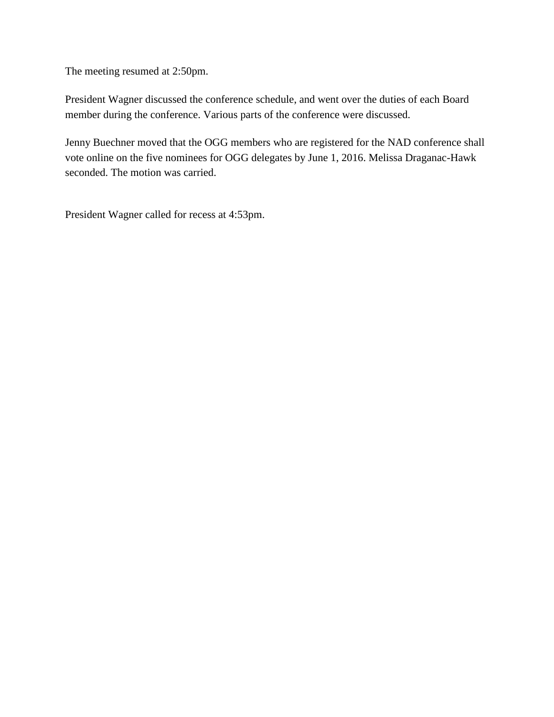The meeting resumed at 2:50pm.

President Wagner discussed the conference schedule, and went over the duties of each Board member during the conference. Various parts of the conference were discussed.

Jenny Buechner moved that the OGG members who are registered for the NAD conference shall vote online on the five nominees for OGG delegates by June 1, 2016. Melissa Draganac-Hawk seconded. The motion was carried.

President Wagner called for recess at 4:53pm.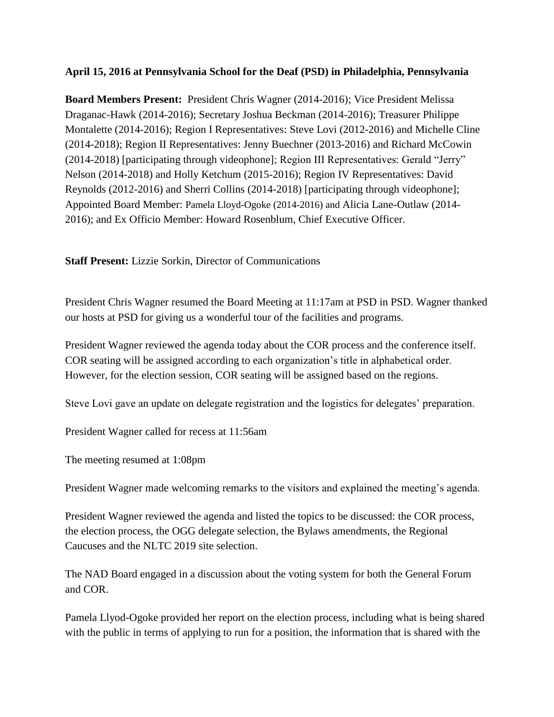### **April 15, 2016 at Pennsylvania School for the Deaf (PSD) in Philadelphia, Pennsylvania**

**Board Members Present:** President Chris Wagner (2014-2016); Vice President Melissa Draganac-Hawk (2014-2016); Secretary Joshua Beckman (2014-2016); Treasurer Philippe Montalette (2014-2016); Region I Representatives: Steve Lovi (2012-2016) and Michelle Cline (2014-2018); Region II Representatives: Jenny Buechner (2013-2016) and Richard McCowin (2014-2018) [participating through videophone]; Region III Representatives: Gerald "Jerry" Nelson (2014-2018) and Holly Ketchum (2015-2016); Region IV Representatives: David Reynolds (2012-2016) and Sherri Collins (2014-2018) [participating through videophone]; Appointed Board Member: Pamela Lloyd-Ogoke (2014-2016) and Alicia Lane-Outlaw (2014- 2016); and Ex Officio Member: Howard Rosenblum, Chief Executive Officer.

#### **Staff Present:** Lizzie Sorkin, Director of Communications

President Chris Wagner resumed the Board Meeting at 11:17am at PSD in PSD. Wagner thanked our hosts at PSD for giving us a wonderful tour of the facilities and programs.

President Wagner reviewed the agenda today about the COR process and the conference itself. COR seating will be assigned according to each organization's title in alphabetical order. However, for the election session, COR seating will be assigned based on the regions.

Steve Lovi gave an update on delegate registration and the logistics for delegates' preparation.

President Wagner called for recess at 11:56am

The meeting resumed at 1:08pm

President Wagner made welcoming remarks to the visitors and explained the meeting's agenda.

President Wagner reviewed the agenda and listed the topics to be discussed: the COR process, the election process, the OGG delegate selection, the Bylaws amendments, the Regional Caucuses and the NLTC 2019 site selection.

The NAD Board engaged in a discussion about the voting system for both the General Forum and COR.

Pamela Llyod-Ogoke provided her report on the election process, including what is being shared with the public in terms of applying to run for a position, the information that is shared with the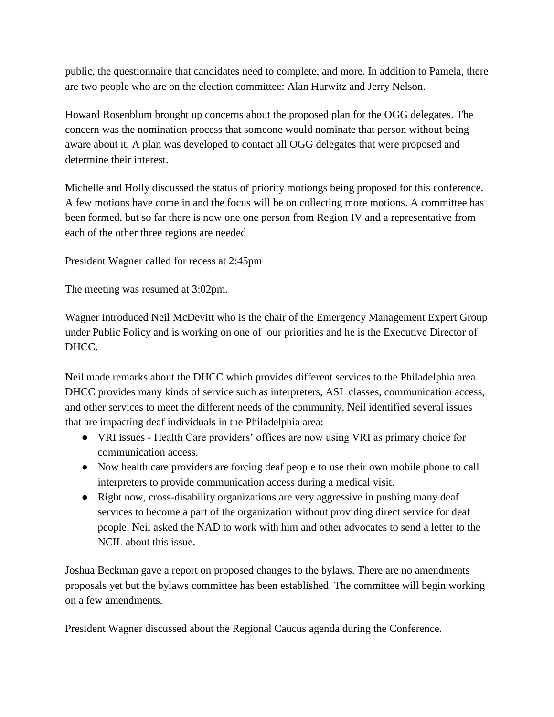public, the questionnaire that candidates need to complete, and more. In addition to Pamela, there are two people who are on the election committee: Alan Hurwitz and Jerry Nelson.

Howard Rosenblum brought up concerns about the proposed plan for the OGG delegates. The concern was the nomination process that someone would nominate that person without being aware about it. A plan was developed to contact all OGG delegates that were proposed and determine their interest.

Michelle and Holly discussed the status of priority motiongs being proposed for this conference. A few motions have come in and the focus will be on collecting more motions. A committee has been formed, but so far there is now one one person from Region IV and a representative from each of the other three regions are needed

President Wagner called for recess at 2:45pm

The meeting was resumed at 3:02pm.

Wagner introduced Neil McDevitt who is the chair of the Emergency Management Expert Group under Public Policy and is working on one of our priorities and he is the Executive Director of DHCC.

Neil made remarks about the DHCC which provides different services to the Philadelphia area. DHCC provides many kinds of service such as interpreters, ASL classes, communication access, and other services to meet the different needs of the community. Neil identified several issues that are impacting deaf individuals in the Philadelphia area:

- VRI issues Health Care providers' offices are now using VRI as primary choice for communication access.
- Now health care providers are forcing deaf people to use their own mobile phone to call interpreters to provide communication access during a medical visit.
- Right now, cross-disability organizations are very aggressive in pushing many deaf services to become a part of the organization without providing direct service for deaf people. Neil asked the NAD to work with him and other advocates to send a letter to the NCIL about this issue.

Joshua Beckman gave a report on proposed changes to the bylaws. There are no amendments proposals yet but the bylaws committee has been established. The committee will begin working on a few amendments.

President Wagner discussed about the Regional Caucus agenda during the Conference.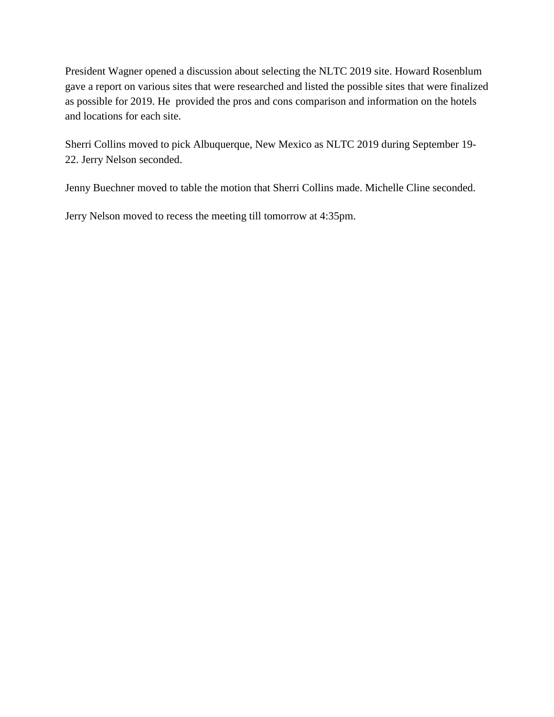President Wagner opened a discussion about selecting the NLTC 2019 site. Howard Rosenblum gave a report on various sites that were researched and listed the possible sites that were finalized as possible for 2019. He provided the pros and cons comparison and information on the hotels and locations for each site.

Sherri Collins moved to pick Albuquerque, New Mexico as NLTC 2019 during September 19- 22. Jerry Nelson seconded.

Jenny Buechner moved to table the motion that Sherri Collins made. Michelle Cline seconded.

Jerry Nelson moved to recess the meeting till tomorrow at 4:35pm.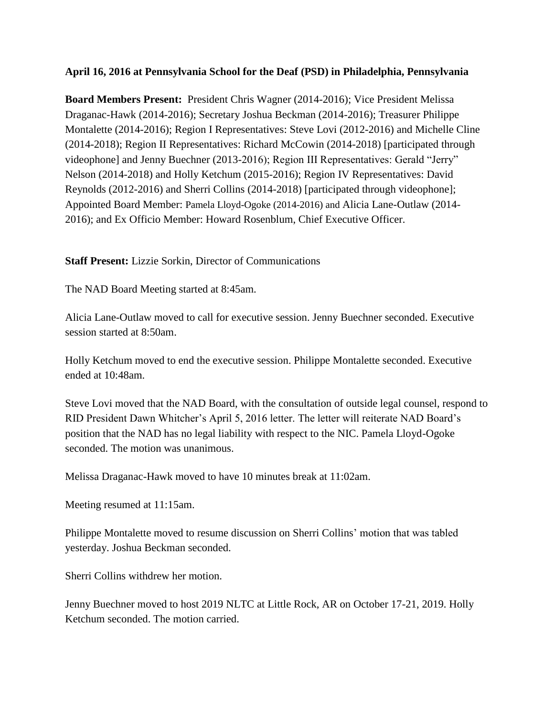### **April 16, 2016 at Pennsylvania School for the Deaf (PSD) in Philadelphia, Pennsylvania**

**Board Members Present:** President Chris Wagner (2014-2016); Vice President Melissa Draganac-Hawk (2014-2016); Secretary Joshua Beckman (2014-2016); Treasurer Philippe Montalette (2014-2016); Region I Representatives: Steve Lovi (2012-2016) and Michelle Cline (2014-2018); Region II Representatives: Richard McCowin (2014-2018) [participated through videophone] and Jenny Buechner (2013-2016); Region III Representatives: Gerald "Jerry" Nelson (2014-2018) and Holly Ketchum (2015-2016); Region IV Representatives: David Reynolds (2012-2016) and Sherri Collins (2014-2018) [participated through videophone]; Appointed Board Member: Pamela Lloyd-Ogoke (2014-2016) and Alicia Lane-Outlaw (2014- 2016); and Ex Officio Member: Howard Rosenblum, Chief Executive Officer.

#### **Staff Present:** Lizzie Sorkin, Director of Communications

The NAD Board Meeting started at 8:45am.

Alicia Lane-Outlaw moved to call for executive session. Jenny Buechner seconded. Executive session started at 8:50am.

Holly Ketchum moved to end the executive session. Philippe Montalette seconded. Executive ended at 10:48am.

Steve Lovi moved that the NAD Board, with the consultation of outside legal counsel, respond to RID President Dawn Whitcher's April 5, 2016 letter. The letter will reiterate NAD Board's position that the NAD has no legal liability with respect to the NIC. Pamela Lloyd-Ogoke seconded. The motion was unanimous.

Melissa Draganac-Hawk moved to have 10 minutes break at 11:02am.

Meeting resumed at 11:15am.

Philippe Montalette moved to resume discussion on Sherri Collins' motion that was tabled yesterday. Joshua Beckman seconded.

Sherri Collins withdrew her motion.

Jenny Buechner moved to host 2019 NLTC at Little Rock, AR on October 17-21, 2019. Holly Ketchum seconded. The motion carried.